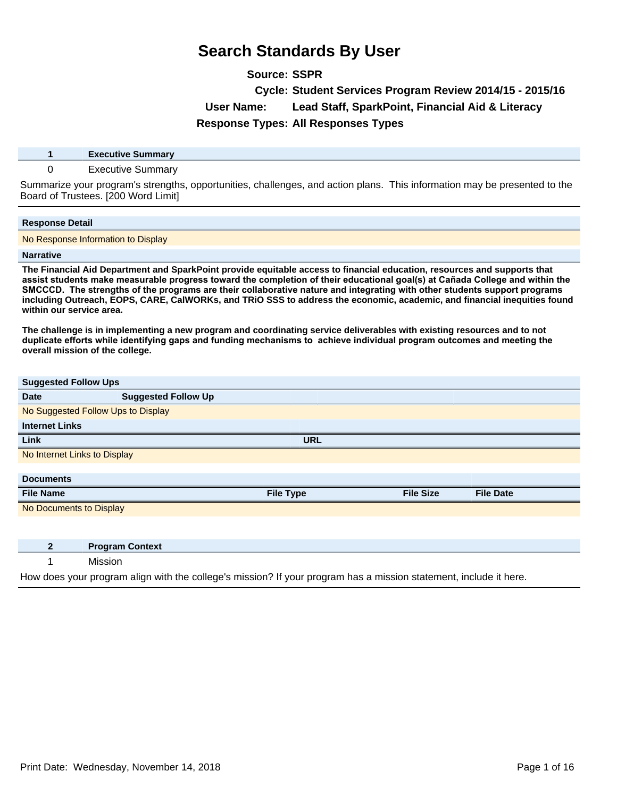**Source: SSPR**

**Cycle: Student Services Program Review 2014/15 - 2015/16**

**User Name: Lead Staff, SparkPoint, Financial Aid & Literacy**

**Response Types: All Responses Types**

**1 Executive Summary**

### 0 Executive Summary

Summarize your program's strengths, opportunities, challenges, and action plans. This information may be presented to the Board of Trustees. [200 Word Limit]

#### **Response Detail**

No Response Information to Display

#### **Narrative**

**The Financial Aid Department and SparkPoint provide equitable access to financial education, resources and supports that**  assist students make measurable progress toward the completion of their educational goal(s) at Cañada College and within the SMCCCD. The strengths of the programs are their collaborative nature and integrating with other students support programs **including Outreach, EOPS, CARE, CalWORKs, and TRiO SSS to address the economic, academic, and financial inequities found within our service area.** 

**The challenge is in implementing a new program and coordinating service deliverables with existing resources and to not**  duplicate efforts while identifying gaps and funding mechanisms to achieve individual program outcomes and meeting the **overall mission of the college.** 

| <b>Suggested Follow Ups</b>  |                                    |                  |                  |                  |  |
|------------------------------|------------------------------------|------------------|------------------|------------------|--|
| <b>Date</b>                  | <b>Suggested Follow Up</b>         |                  |                  |                  |  |
|                              | No Suggested Follow Ups to Display |                  |                  |                  |  |
| <b>Internet Links</b>        |                                    |                  |                  |                  |  |
| Link                         |                                    | <b>URL</b>       |                  |                  |  |
| No Internet Links to Display |                                    |                  |                  |                  |  |
|                              |                                    |                  |                  |                  |  |
| <b>Documents</b>             |                                    |                  |                  |                  |  |
| <b>File Name</b>             |                                    | <b>File Type</b> | <b>File Size</b> | <b>File Date</b> |  |
| No Documents to Display      |                                    |                  |                  |                  |  |
|                              |                                    |                  |                  |                  |  |
|                              |                                    |                  |                  |                  |  |
|                              |                                    |                  |                  |                  |  |
| 2 <sup>2</sup>               | <b>Program Context</b>             |                  |                  |                  |  |

How does your program align with the college's mission? If your program has a mission statement, include it here.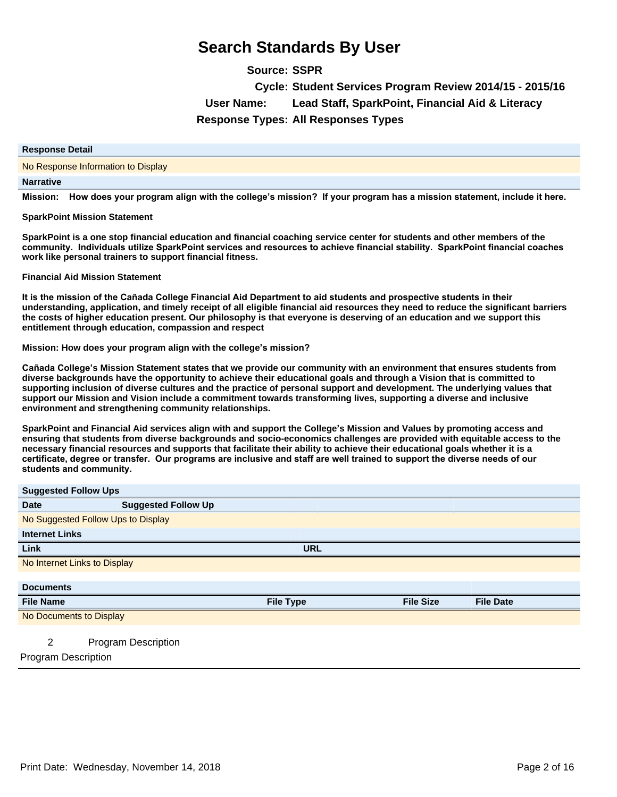**Source: SSPR Cycle: Student Services Program Review 2014/15 - 2015/16 User Name: Lead Staff, SparkPoint, Financial Aid & Literacy Response Types: All Responses Types**

#### **Response Detail**

#### No Response Information to Display

#### **Narrative**

Mission: How does your program align with the college's mission? If your program has a mission statement, include it here.

#### **SparkPoint Mission Statement**

**SparkPoint is a one stop financial education and financial coaching service center for students and other members of the**  community. Individuals utilize SparkPoint services and resources to achieve financial stability. SparkPoint financial coaches **work like personal trainers to support financial fitness.** 

#### **Financial Aid Mission Statement**

It is the mission of the Cañada College Financial Aid Department to aid students and prospective students in their **understanding, application, and timely receipt of all eligible financial aid resources they need to reduce the significant barriers the costs of higher education present. Our philosophy is that everyone is deserving of an education and we support this entitlement through education, compassion and respect** 

#### **Mission: How does your program align with the college's mission?**

Cañada College's Mission Statement states that we provide our community with an environment that ensures students from **diverse backgrounds have the opportunity to achieve their educational goals and through a Vision that is committed to supporting inclusion of diverse cultures and the practice of personal support and development. The underlying values that support our Mission and Vision include a commitment towards transforming lives, supporting a diverse and inclusive environment and strengthening community relationships.** 

**SparkPoint and Financial Aid services align with and support the College¶s Mission and Values by promoting access and ensuring that students from diverse backgrounds and socio-economics challenges are provided with equitable access to the necessary financial resources and supports that facilitate their ability to achieve their educational goals whether it is a**  certificate, degree or transfer. Our programs are inclusive and staff are well trained to support the diverse needs of our students and community.

### **Suggested Follow Ups**

| <b>Ouggested Lollow Ops</b>  |                                    |                  |                  |                  |
|------------------------------|------------------------------------|------------------|------------------|------------------|
| <b>Date</b>                  | <b>Suggested Follow Up</b>         |                  |                  |                  |
|                              | No Suggested Follow Ups to Display |                  |                  |                  |
| <b>Internet Links</b>        |                                    |                  |                  |                  |
| Link                         |                                    | <b>URL</b>       |                  |                  |
| No Internet Links to Display |                                    |                  |                  |                  |
|                              |                                    |                  |                  |                  |
| <b>Documents</b>             |                                    |                  |                  |                  |
| <b>File Name</b>             |                                    | <b>File Type</b> | <b>File Size</b> | <b>File Date</b> |
| No Documents to Display      |                                    |                  |                  |                  |
|                              |                                    |                  |                  |                  |
| 2                            | <b>Program Description</b>         |                  |                  |                  |
| <b>Program Description</b>   |                                    |                  |                  |                  |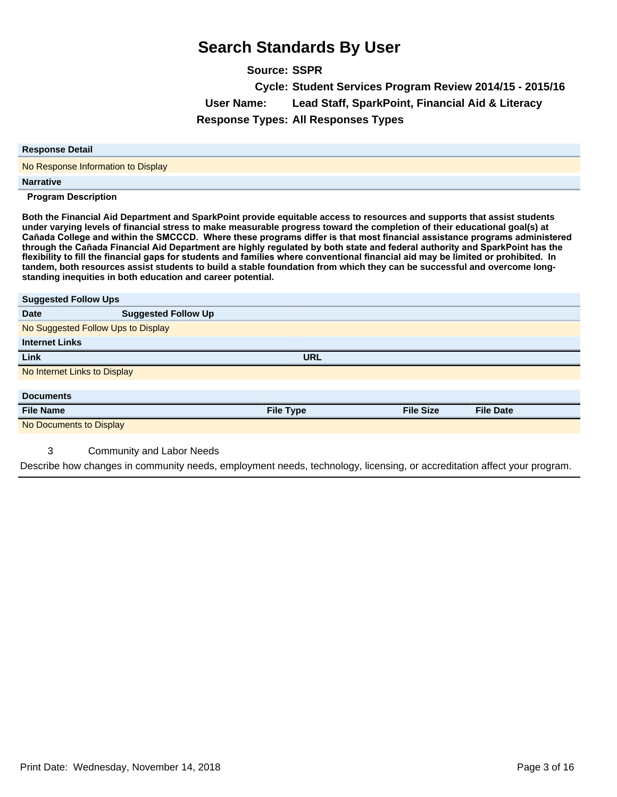**Source: SSPR Cycle: Student Services Program Review 2014/15 - 2015/16 User Name: Lead Staff, SparkPoint, Financial Aid & Literacy Response Types: All Responses Types**

| <b>Response Detail</b>             |
|------------------------------------|
| No Response Information to Display |
| <b>Narrative</b>                   |
| <b>Program Description</b>         |

**Both the Financial Aid Department and SparkPoint provide equitable access to resources and supports that assist students under varying levels of financial stress to make measurable progress toward the completion of their educational goal(s) at**  Cañada College and within the SMCCCD. Where these programs differ is that most financial assistance programs administered through the Cañada Financial Aid Department are highly regulated by both state and federal authority and SparkPoint has the flexibility to fill the financial gaps for students and families where conventional financial aid may be limited or prohibited. In **tandem, both resources assist students to build a stable foundation from which they can be successful and overcome longstanding inequities in both education and career potential.**

| <b>Suggested Follow Ups</b>        |                            |                  |                  |                  |  |
|------------------------------------|----------------------------|------------------|------------------|------------------|--|
| <b>Date</b>                        | <b>Suggested Follow Up</b> |                  |                  |                  |  |
| No Suggested Follow Ups to Display |                            |                  |                  |                  |  |
| <b>Internet Links</b>              |                            |                  |                  |                  |  |
| Link                               |                            | <b>URL</b>       |                  |                  |  |
| No Internet Links to Display       |                            |                  |                  |                  |  |
|                                    |                            |                  |                  |                  |  |
| <b>Documents</b>                   |                            |                  |                  |                  |  |
| <b>File Name</b>                   |                            | <b>File Type</b> | <b>File Size</b> | <b>File Date</b> |  |
|                                    |                            |                  |                  |                  |  |
| No Documents to Display            |                            |                  |                  |                  |  |

### 3 Community and Labor Needs

Describe how changes in community needs, employment needs, technology, licensing, or accreditation affect your program.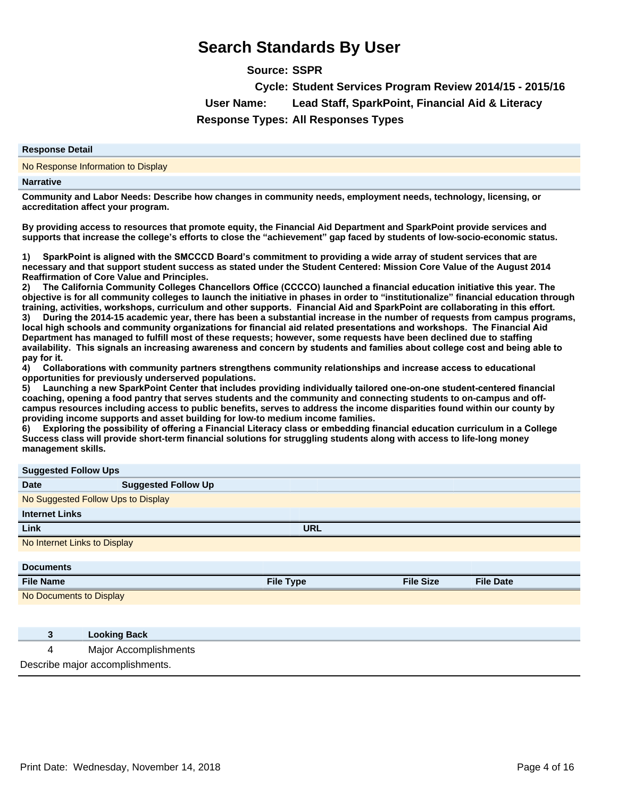**Source: SSPR**

**Cycle: Student Services Program Review 2014/15 - 2015/16 User Name: Lead Staff, SparkPoint, Financial Aid & Literacy Response Types: All Responses Types**

#### **Response Detail**

No Response Information to Display

#### **Narrative**

**Community and Labor Needs: Describe how changes in community needs, employment needs, technology, licensing, or accreditation affect your program.** 

**By providing access to resources that promote equity, the Financial Aid Department and SparkPoint provide services and supports that increase the college¶s efforts to close the ³achievement´gap faced by students of low-socio-economic status.** 

1) SparkPoint is aligned with the SMCCCD Board's commitment to providing a wide array of student services that are **necessary and that support student success as stated under the Student Centered: Mission Core Value of the August 2014 Reaffirmation of Core Value and Principles.** 

2) The California Community Colleges Chancellors Office (CCCCO) launched a financial education initiative this year. The **objective is for all community colleges to launch the initiative in phases in order to ³institutionalize´financial education through**  training, activities, workshops, curriculum and other supports. Financial Aid and SparkPoint are collaborating in this effort. 3) During the 2014-15 academic year, there has been a substantial increase in the number of requests from campus programs, local high schools and community organizations for financial aid related presentations and workshops. The Financial Aid **Department has managed to fulfill most of these requests; however, some requests have been declined due to staffing**  availability. This signals an increasing awareness and concern by students and families about college cost and being able to pay for it.

4) Collaborations with community partners strengthens community relationships and increase access to educational **opportunities for previously underserved populations.** 

5) Launching a new SparkPoint Center that includes providing individually tailored one-on-one student-centered financial **coaching, opening a food pantry that serves students and the community and connecting students to on-campus and offcampus resources including access to public benefits, serves to address the income disparities found within our county by providing income supports and asset building for low-to medium income families.** 

6) Exploring the possibility of offering a Financial Literacy class or embedding financial education curriculum in a College **Success class will provide short-term financial solutions for struggling students along with access to life-long money management skills.**

### **Suggested Follow Ups**

| <b>Ouggested Fullow Ops</b>  |                                    |                  |                  |                  |  |
|------------------------------|------------------------------------|------------------|------------------|------------------|--|
| <b>Date</b>                  | <b>Suggested Follow Up</b>         |                  |                  |                  |  |
|                              | No Suggested Follow Ups to Display |                  |                  |                  |  |
| <b>Internet Links</b>        |                                    |                  |                  |                  |  |
| Link                         |                                    | <b>URL</b>       |                  |                  |  |
| No Internet Links to Display |                                    |                  |                  |                  |  |
|                              |                                    |                  |                  |                  |  |
| <b>Documents</b>             |                                    |                  |                  |                  |  |
| <b>File Name</b>             |                                    | <b>File Type</b> | <b>File Size</b> | <b>File Date</b> |  |
| Ale Desconsiste to Disclose  |                                    |                  |                  |                  |  |

No Documents to Display

|   | <b>Looking Back</b>             |
|---|---------------------------------|
| 4 | Major Accomplishments           |
|   | Describe major accomplishments. |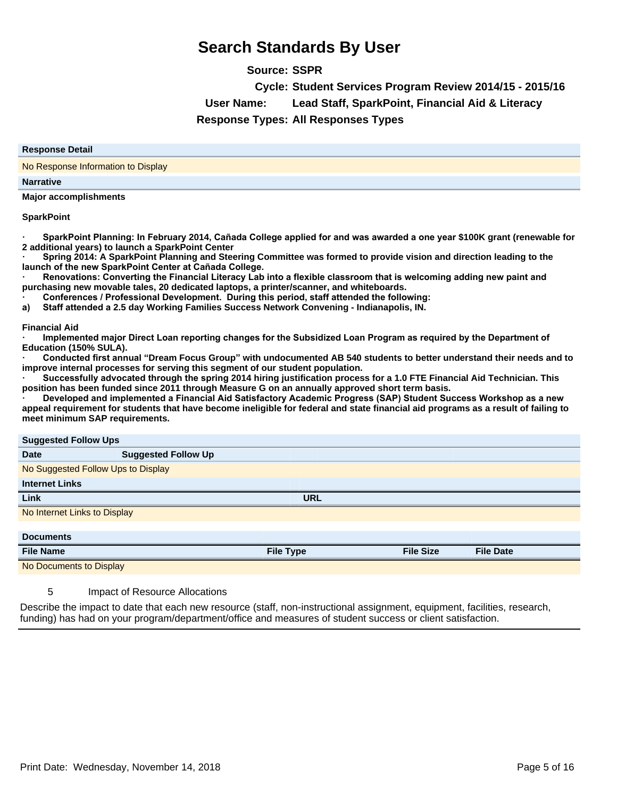**Source: SSPR**

**Cycle: Student Services Program Review 2014/15 - 2015/16**

**User Name: Lead Staff, SparkPoint, Financial Aid & Literacy**

**Response Types: All Responses Types**

### **Response Detail**

No Response Information to Display

#### **Narrative**

**Major accomplishments** 

#### **SparkPoint**

SparkPoint Planning: In February 2014, Cañada College applied for and was awarded a one year \$100K grant (renewable for **2 additional years) to launch a SparkPoint Center** 

Spring 2014: A SparkPoint Planning and Steering Committee was formed to provide vision and direction leading to the **Iaunch of the new SparkPoint Center at Cañada College.** 

Renovations: Converting the Financial Literacy Lab into a flexible classroom that is welcoming adding new paint and **purchasing new movable tales, 20 dedicated laptops, a printer/scanner, and whiteboards.** 

**Conferences / Professional Development. During this period, staff attended the following:** 

a) Staff attended a 2.5 day Working Families Success Network Convening - Indianapolis, IN.

**Financial Aid** 

Implemented major Direct Loan reporting changes for the Subsidized Loan Program as required by the Department of **Education (150% SULA).** 

**ā&RQGXFWHGILUVWDQQXDO³Dream Focus Group´with undocumented AB 540 students to better understand their needs and to improve internal processes for serving this segment of our student population.** 

Successfully advocated through the spring 2014 hiring justification process for a 1.0 FTE Financial Aid Technician. This **position has been funded since 2011 through Measure G on an annually approved short term basis.** 

Developed and implemented a Financial Aid Satisfactory Academic Progress (SAP) Student Success Workshop as a new **appeal requirement for students that have become ineligible for federal and state financial aid programs as a result of failing to meet minimum SAP requirements.**

#### **Suggested Follow Ups**

| $\frac{3}{2}$                      |                            |                  |                  |                  |
|------------------------------------|----------------------------|------------------|------------------|------------------|
| <b>Date</b>                        | <b>Suggested Follow Up</b> |                  |                  |                  |
| No Suggested Follow Ups to Display |                            |                  |                  |                  |
| <b>Internet Links</b>              |                            |                  |                  |                  |
| <b>Link</b>                        |                            | <b>URL</b>       |                  |                  |
| No Internet Links to Display       |                            |                  |                  |                  |
|                                    |                            |                  |                  |                  |
| <b>Documents</b>                   |                            |                  |                  |                  |
| <b>File Name</b>                   |                            | <b>File Type</b> | <b>File Size</b> | <b>File Date</b> |
| No Documents to Display            |                            |                  |                  |                  |
|                                    |                            |                  |                  |                  |

### 5 Impact of Resource Allocations

Describe the impact to date that each new resource (staff, non-instructional assignment, equipment, facilities, research, funding) has had on your program/department/office and measures of student success or client satisfaction.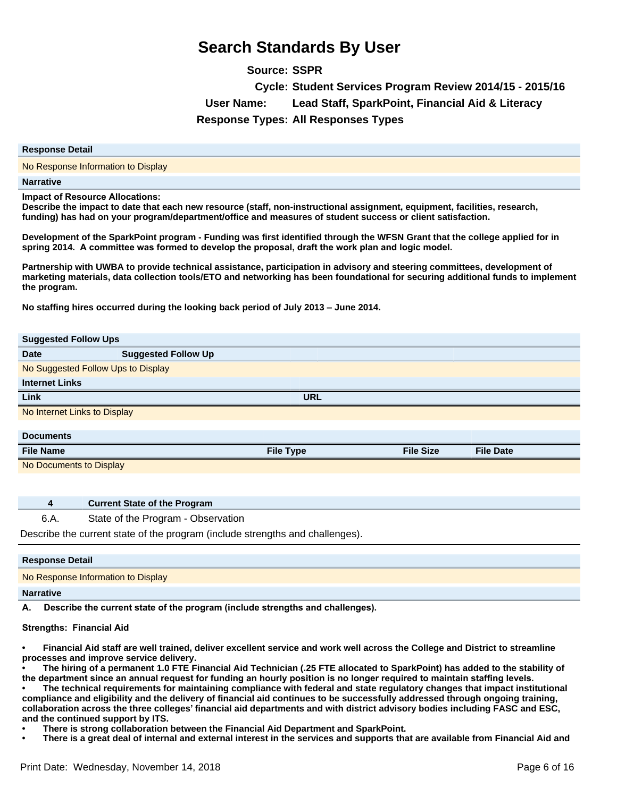**Source: SSPR Cycle: Student Services Program Review 2014/15 - 2015/16 User Name: Lead Staff, SparkPoint, Financial Aid & Literacy Response Types: All Responses Types**

#### **Response Detail**

No Response Information to Display

**Narrative**

**Impact of Resource Allocations:** 

**Describe the impact to date that each new resource (staff, non-instructional assignment, equipment, facilities, research, funding) has had on your program/department/office and measures of student success or client satisfaction.** 

**Development of the SparkPoint program - Funding was first identified through the WFSN Grant that the college applied for in**  spring 2014. A committee was formed to develop the proposal, draft the work plan and logic model.

**Partnership with UWBA to provide technical assistance, participation in advisory and steering committees, development of marketing materials, data collection tools/ETO and networking has been foundational for securing additional funds to implement the program.** 

**No staffing hires occurred during the looking back period of July 2013±June 2014.** 

| <b>Suggested Follow Ups</b>        |                            |                  |                  |                  |
|------------------------------------|----------------------------|------------------|------------------|------------------|
| <b>Date</b>                        | <b>Suggested Follow Up</b> |                  |                  |                  |
| No Suggested Follow Ups to Display |                            |                  |                  |                  |
| <b>Internet Links</b>              |                            |                  |                  |                  |
| Link                               |                            | <b>URL</b>       |                  |                  |
| No Internet Links to Display       |                            |                  |                  |                  |
|                                    |                            |                  |                  |                  |
| <b>Documents</b>                   |                            |                  |                  |                  |
| <b>File Name</b>                   |                            | <b>File Type</b> | <b>File Size</b> | <b>File Date</b> |
| No Documents to Display            |                            |                  |                  |                  |
|                                    |                            |                  |                  |                  |

| Current State of the Program                                                  |  |
|-------------------------------------------------------------------------------|--|
| State of the Program - Observation                                            |  |
| Describe the current state of the program (include strengths and challenges). |  |
|                                                                               |  |
| <b>Response Detail</b>                                                        |  |
| No Response Information to Display                                            |  |
|                                                                               |  |

#### **Narrative**

A. Describe the current state of the program (include strengths and challenges).

**4 Current State of the Program**

#### **Strengths: Financial Aid**

**Financial Aid staff are well trained, deliver excellent service and work well across the College and District to streamline processes and improve service delivery.** 

**The hiring of a permanent 1.0 FTE Financial Aid Technician (.25 FTE allocated to SparkPoint) has added to the stability of**  the department since an annual request for funding an hourly position is no longer required to maintain staffing levels.

**The technical requirements for maintaining compliance with federal and state regulatory changes that impact institutional compliance and eligibility and the delivery of financial aid continues to be successfully addressed through ongoing training, collaboration across the three colleges¶financial aid departments and with district advisory bodies including FASC and ESC, and the continued support by ITS.** 

**There is strong collaboration between the Financial Aid Department and SparkPoint.** 

**There is a great deal of internal and external interest in the services and supports that are available from Financial Aid and**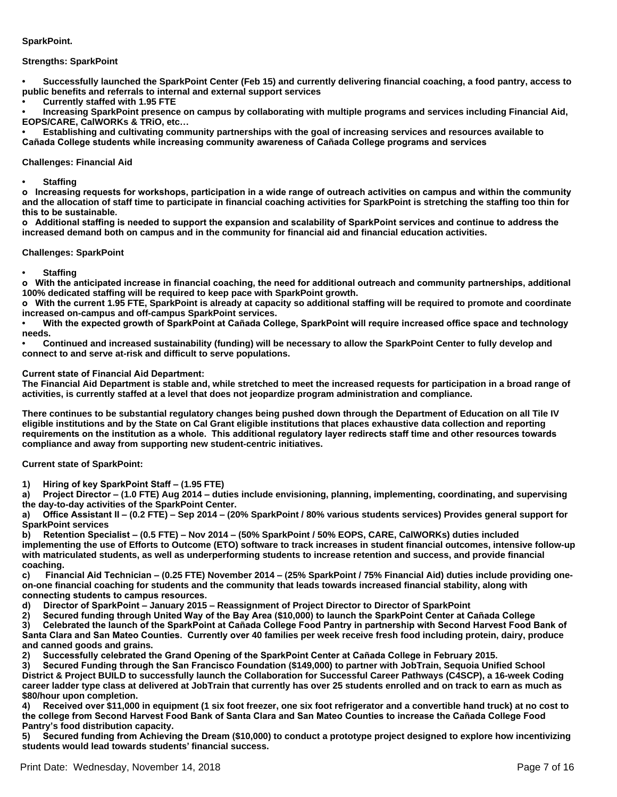#### **SparkPoint.**

#### **Strengths: SparkPoint**

**Successfully launched the SparkPoint Center (Feb 15) and currently delivering financial coaching, a food pantry, access to public benefits and referrals to internal and external support services** 

**Currently staffed with 1.95 FTE** 

**Increasing SparkPoint presence on campus by collaborating with multiple programs and services including Financial Aid, EOPS/CARE, CalWORKs & TRiO, etc...** 

**Establishing and cultivating community partnerships with the goal of increasing services and resources available to**  Cañada College students while increasing community awareness of Cañada College programs and services

#### **Challenges: Financial Aid**

**Staffing** 

 $\alpha$  Increasing requests for workshops, participation in a wide range of outreach activities on campus and within the community **and the allocation of staff time to participate in financial coaching activities for SparkPoint is stretching the staffing too thin for**  this to be sustainable.

 $\alpha$  Additional staffing is needed to support the expansion and scalability of SparkPoint services and continue to address the **increased demand both on campus and in the community for financial aid and financial education activities.** 

#### **Challenges: SparkPoint**

**Staffing** 

 $\,$  With the anticipated increase in financial coaching, the need for additional outreach and community partnerships, additional **100% dedicated staffing will be required to keep pace with SparkPoint growth.** 

**o** With the current 1.95 FTE, SparkPoint is already at capacity so additional staffing will be required to promote and coordinate **increased on-campus and off-campus SparkPoint services.** 

With the expected growth of SparkPoint at Cañada College, SparkPoint will require increased office space and technology **needs.** 

**Continued and increased sustainability (funding) will be necessary to allow the SparkPoint Center to fully develop and connect to and serve at-risk and difficult to serve populations.** 

#### **Current state of Financial Aid Department:**

**The Financial Aid Department is stable and, while stretched to meet the increased requests for participation in a broad range of activities, is currently staffed at a level that does not jeopardize program administration and compliance.** 

**There continues to be substantial regulatory changes being pushed down through the Department of Education on all Tile IV eligible institutions and by the State on Cal Grant eligible institutions that places exhaustive data collection and reporting**  requirements on the institution as a whole. This additional requlatory layer redirects staff time and other resources towards **compliance and away from supporting new student-centric initiatives.** 

#### **Current state of SparkPoint:**

1) Hiring of key SparkPoint Staff – (1.95 FTE)

a) Project Director – (1.0 FTE) Aug 2014 – duties include envisioning, planning, implementing, coordinating, and supervising **the day-to-day activities of the SparkPoint Center.** 

a) Office Assistant II – (0.2 FTE) – Sep 2014 – (20% SparkPoint / 80% various students services) Provides general support for **SparkPoint services** 

**b)** Retention Specialist – (0.5 FTE) – Nov 2014 – (50% SparkPoint / 50% EOPS, CARE, CalWORKs) duties included **implementing the use of Efforts to Outcome (ETO) software to track increases in student financial outcomes, intensive follow-up with matriculated students, as well as underperforming students to increase retention and success, and provide financial coaching.** 

c) Financial Aid Technician – (0.25 FTE) November 2014 – (25% SparkPoint / 75% Financial Aid) duties include providing one**on-one financial coaching for students and the community that leads towards increased financial stability, along with**  connecting students to campus resources.

d) Director of SparkPoint  $\dot{=}$  January 2015  $\dot{=}$  Reassignment of Project Director to Director of SparkPoint

2) Secured funding through United Way of the Bay Area (\$10,000) to launch the SparkPoint Center at Cañada College

3) Celebrated the launch of the SparkPoint at Cañada College Food Pantry in partnership with Second Harvest Food Bank of Santa Clara and San Mateo Counties. Currently over 40 families per week receive fresh food including protein, dairy, produce **and canned goods and grains.** 

2) Successfully celebrated the Grand Opening of the SparkPoint Center at Cañada College in February 2015.

3) Secured Funding through the San Francisco Foundation (\$149,000) to partner with JobTrain, Sequoia Unified School **District & Project BUILD to successfully launch the Collaboration for Successful Career Pathways (C4SCP), a 16-week Coding career ladder type class at delivered at JobTrain that currently has over 25 students enrolled and on track to earn as much as \$80/hour upon completion.** 

4) Received over \$11,000 in equipment (1 six foot freezer, one six foot refrigerator and a convertible hand truck) at no cost to the college from Second Harvest Food Bank of Santa Clara and San Mateo Counties to increase the Cañada College Food **Pantry¶s food distribution capacity.** 

5) Secured funding from Achieving the Dream (\$10,000) to conduct a prototype project designed to explore how incentivizing **students would lead towards students¶financial success.**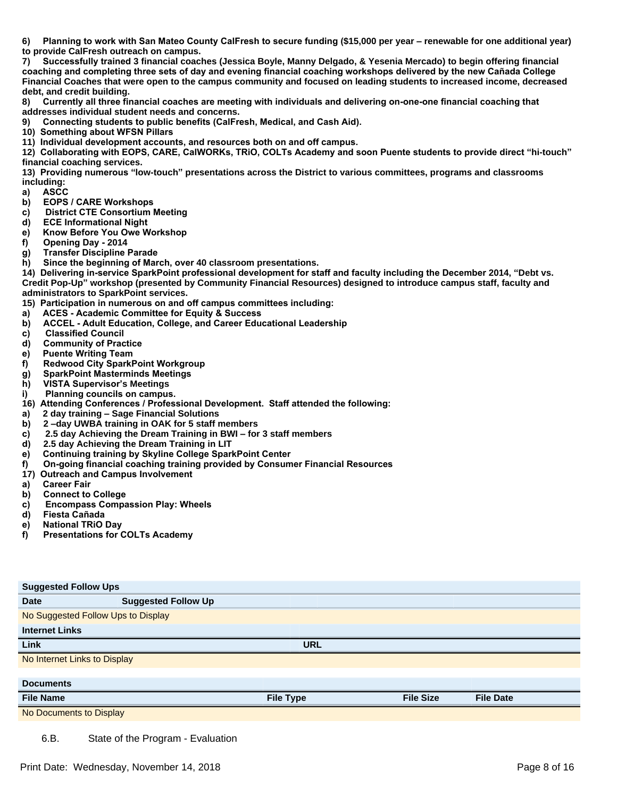6) Planning to work with San Mateo County CalFresh to secure funding (\$15,000 per year – renewable for one additional year) **to provide CalFresh outreach on campus.** 

7) Successfully trained 3 financial coaches (Jessica Boyle, Manny Delgado, & Yesenia Mercado) to begin offering financial coaching and completing three sets of day and evening financial coaching workshops delivered by the new Cañada College **Financial Coaches that were open to the campus community and focused on leading students to increased income, decreased debt, and credit building.** 

8) Currently all three financial coaches are meeting with individuals and delivering on-one-one financial coaching that **addresses individual student needs and concerns.** 

Connecting students to public benefits (CalFresh, Medical, and Cash Aid).

**10) Something about WFSN Pillars** 

11) Individual development accounts, and resources both on and off campus.

12) Collaborating with EOPS, CARE, CalWORKs, TRiO, COLTs Academy and soon Puente students to provide direct "hi-touch" **financial coaching services.** 

13) Providing numerous "low-touch" presentations across the District to various committees, programs and classrooms **including:** 

- a) ASCC
- b) EOPS / CARE Workshops
- c) District CTE Consortium Meeting
- d) **ECE Informational Night**
- e) Know Before You Owe Workshop
- f) Opening Day 2014
- g) Transfer Discipline Parade
- h) Since the beginning of March, over 40 classroom presentations.

14) Delivering in-service SparkPoint professional development for staff and faculty including the December 2014, "Debt vs. **Credit Pop-Up´workshop (presented by Community Financial Resources) designed to introduce campus staff, faculty and administrators to SparkPoint services.** 

15) Participation in numerous on and off campus committees including:

- a) ACES Academic Committee for Equity & Success
- **b)** ACCEL Adult Education, College, and Career Educational Leadership
- c) Classified Council
- d) Community of Practice
- **e)** Puente Writing Team
- f) Redwood City SparkPoint Workgroup
- g) SparkPoint Masterminds Meetings
- **h)** VISTA Supervisor's Meetings
- i) Planning councils on campus.
- 16) Attending Conferences / Professional Development. Staff attended the following:
- **D2 day training ±Sage Financial Solutions**
- **E2±day UWBA training in OAK for 5 staff members**
- **formula F**  $\bf{r}$  **2.5 day Achieving the Dream Training in BWI for 3 staff members**
- **G2.5 day Achieving the Dream Training in LIT**
- e) Continuing training by Skyline College SparkPoint Center
- f) On-going financial coaching training provided by Consumer Financial Resources
- **17) Outreach and Campus Involvement**
- a) Career Fair
- b) Connect to College
- c) Encompass Compassion Play: Wheels
- d) Fiesta Cañada
- e) National TRiO Day
- f) Presentations for COLTs Academy

| <b>Suggested Follow Ups</b>  |                                    |                  |                  |                  |  |
|------------------------------|------------------------------------|------------------|------------------|------------------|--|
| <b>Date</b>                  | <b>Suggested Follow Up</b>         |                  |                  |                  |  |
|                              | No Suggested Follow Ups to Display |                  |                  |                  |  |
| <b>Internet Links</b>        |                                    |                  |                  |                  |  |
| Link                         |                                    | <b>URL</b>       |                  |                  |  |
| No Internet Links to Display |                                    |                  |                  |                  |  |
|                              |                                    |                  |                  |                  |  |
| <b>Documents</b>             |                                    |                  |                  |                  |  |
| <b>File Name</b>             |                                    | <b>File Type</b> | <b>File Size</b> | <b>File Date</b> |  |
| No Documents to Display      |                                    |                  |                  |                  |  |
|                              |                                    |                  |                  |                  |  |

6.B. State of the Program - Evaluation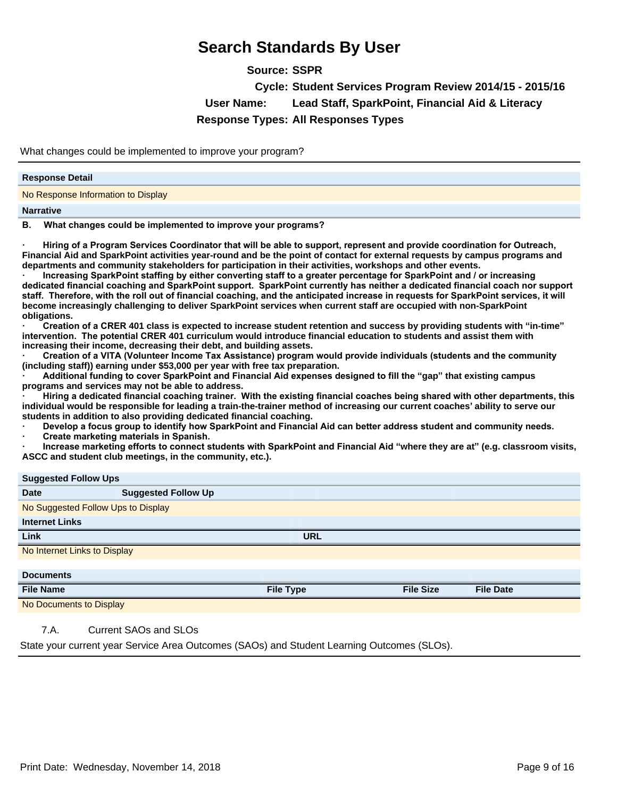**Source: SSPR Cycle: Student Services Program Review 2014/15 - 2015/16 User Name: Lead Staff, SparkPoint, Financial Aid & Literacy Response Types: All Responses Types**

What changes could be implemented to improve your program?

#### **Response Detail**

No Response Information to Display

#### **Narrative**

B. What changes could be implemented to improve your programs?

Hiring of a Program Services Coordinator that will be able to support, represent and provide coordination for Outreach, **Financial Aid and SparkPoint activities year-round and be the point of contact for external requests by campus programs and departments and community stakeholders for participation in their activities, workshops and other events.** 

Increasing SparkPoint staffing by either converting staff to a greater percentage for SparkPoint and / or increasing dedicated financial coaching and SparkPoint support. SparkPoint currently has neither a dedicated financial coach nor support staff. Therefore, with the roll out of financial coaching, and the anticipated increase in requests for SparkPoint services, it will **become increasingly challenging to deliver SparkPoint services when current staff are occupied with non-SparkPoint obligations.** 

*a* Creation of a CRER 401 class is expected to increase student retention and success by providing students with "in-time" **Intervention. The potential CRER 401 curriculum would introduce financial education to students and assist them with increasing their income, decreasing their debt, and building assets.** 

Creation of a VITA (Volunteer Income Tax Assistance) program would provide individuals (students and the community **(including staff)) earning under \$53,000 per year with free tax preparation.** 

**ā\$GGLWLRQDOIXQGLQJWRFRYHU6SDUN3RLQWDQG)LQDQFLDO\$LGH[SHQVHVGHVLJQHGWRILOOWKH³gap´that existing campus programs and services may not be able to address.** 

Hiring a dedicated financial coaching trainer. With the existing financial coaches being shared with other departments, this **individual would be responsible for leading a train-the-trainer method of increasing our current coaches¶ability to serve our students in addition to also providing dedicated financial coaching.** 

Develop a focus group to identify how SparkPoint and Financial Aid can better address student and community needs.

**Create marketing materials in Spanish.** 

Increase marketing efforts to connect students with SparkPoint and Financial Aid "where they are at" (e.g. classroom visits, **ASCC and student club meetings, in the community, etc.).**

| <b>Suggested Follow Ups</b>        |                            |                  |                  |                  |
|------------------------------------|----------------------------|------------------|------------------|------------------|
| <b>Date</b>                        | <b>Suggested Follow Up</b> |                  |                  |                  |
| No Suggested Follow Ups to Display |                            |                  |                  |                  |
| <b>Internet Links</b>              |                            |                  |                  |                  |
| Link                               |                            | <b>URL</b>       |                  |                  |
| No Internet Links to Display       |                            |                  |                  |                  |
|                                    |                            |                  |                  |                  |
| <b>Documents</b>                   |                            |                  |                  |                  |
| <b>File Name</b>                   |                            | <b>File Type</b> | <b>File Size</b> | <b>File Date</b> |
| No Documents to Display            |                            |                  |                  |                  |

### 7.A. Current SAOs and SLOs

State your current year Service Area Outcomes (SAOs) and Student Learning Outcomes (SLOs).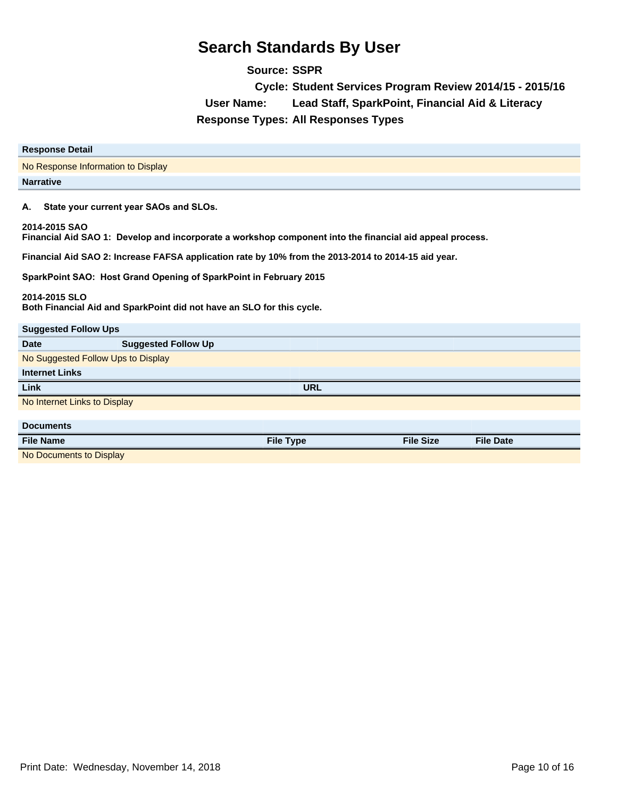**Source: SSPR Cycle: Student Services Program Review 2014/15 - 2015/16 User Name: Lead Staff, SparkPoint, Financial Aid & Literacy Response Types: All Responses Types**

| <b>Response Detail</b>                                                                                                    |  |  |  |  |
|---------------------------------------------------------------------------------------------------------------------------|--|--|--|--|
| No Response Information to Display                                                                                        |  |  |  |  |
| <b>Narrative</b>                                                                                                          |  |  |  |  |
| State your current year SAOs and SLOs.<br>А.                                                                              |  |  |  |  |
| 2014-2015 SAO<br>Financial Aid SAO 1: Develop and incorporate a workshop component into the financial aid appeal process. |  |  |  |  |
| Financial Aid SAO 2: Increase FAFSA application rate by 10% from the 2013-2014 to 2014-15 aid year.                       |  |  |  |  |
| SparkPoint SAO: Host Grand Opening of SparkPoint in February 2015                                                         |  |  |  |  |
| 2014-2015 SLO<br>Both Financial Aid and SparkPoint did not have an SLO for this cycle.                                    |  |  |  |  |
| <b>Suggested Follow Ups</b>                                                                                               |  |  |  |  |
| <b>Suggested Follow Up</b><br>Date                                                                                        |  |  |  |  |
| No Suggested Follow Ups to Display                                                                                        |  |  |  |  |
| <b>Internet Links</b>                                                                                                     |  |  |  |  |
| <b>URL</b><br>Link                                                                                                        |  |  |  |  |
| No Internet Links to Display                                                                                              |  |  |  |  |
|                                                                                                                           |  |  |  |  |
| <b>Documents</b>                                                                                                          |  |  |  |  |

**File Name File Type File Size File Date** No Documents to Display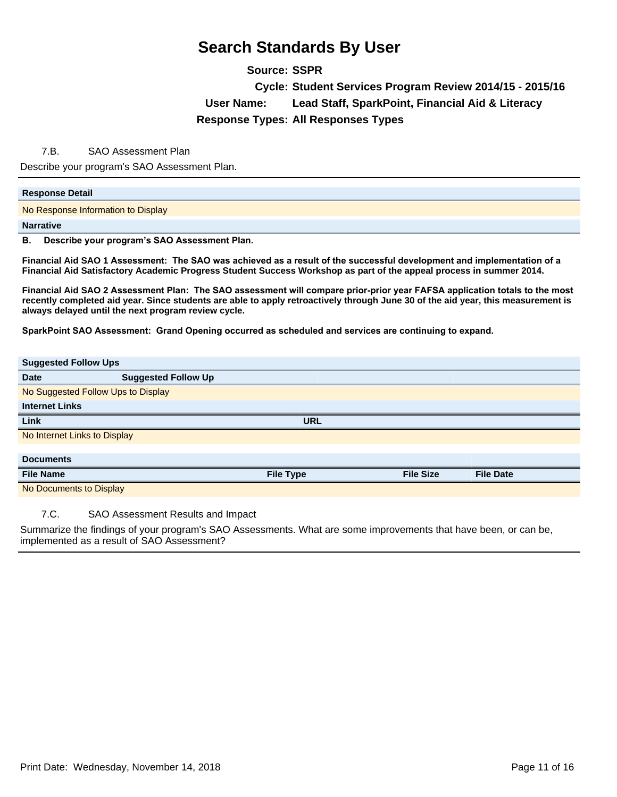**Source: SSPR**

**Cycle: Student Services Program Review 2014/15 - 2015/16 User Name: Lead Staff, SparkPoint, Financial Aid & Literacy Response Types: All Responses Types**

### 7.B. SAO Assessment Plan

Describe your program's SAO Assessment Plan.

#### **Response Detail**

No Response Information to Display

#### **Narrative**

**B.** Describe your program's SAO Assessment Plan.

Financial Aid SAO 1 Assessment: The SAO was achieved as a result of the successful development and implementation of a **Financial Aid Satisfactory Academic Progress Student Success Workshop as part of the appeal process in summer 2014.** 

Financial Aid SAO 2 Assessment Plan: The SAO assessment will compare prior-prior year FAFSA application totals to the most **recently completed aid year. Since students are able to apply retroactively through June 30 of the aid year, this measurement is always delayed until the next program review cycle.** 

SparkPoint SAO Assessment: Grand Opening occurred as scheduled and services are continuing to expand.

| <b>Suggested Follow Ups</b>  |                                    |                  |                  |                  |  |  |
|------------------------------|------------------------------------|------------------|------------------|------------------|--|--|
| <b>Date</b>                  | <b>Suggested Follow Up</b>         |                  |                  |                  |  |  |
|                              | No Suggested Follow Ups to Display |                  |                  |                  |  |  |
| <b>Internet Links</b>        |                                    |                  |                  |                  |  |  |
| Link                         |                                    | <b>URL</b>       |                  |                  |  |  |
| No Internet Links to Display |                                    |                  |                  |                  |  |  |
|                              |                                    |                  |                  |                  |  |  |
| <b>Documents</b>             |                                    |                  |                  |                  |  |  |
| <b>File Name</b>             |                                    | <b>File Type</b> | <b>File Size</b> | <b>File Date</b> |  |  |
| No Documents to Display      |                                    |                  |                  |                  |  |  |

7.C. SAO Assessment Results and Impact

Summarize the findings of your program's SAO Assessments. What are some improvements that have been, or can be, implemented as a result of SAO Assessment?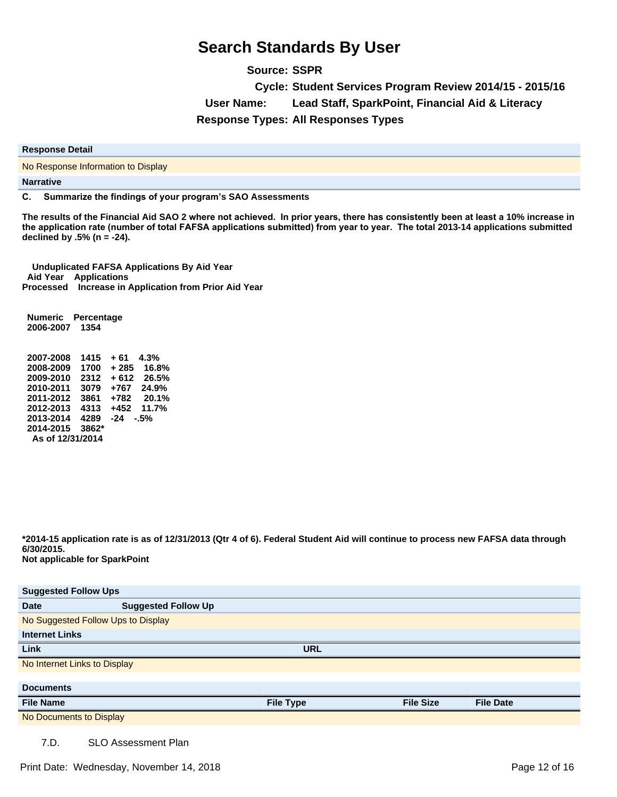**Source: SSPR Cycle: Student Services Program Review 2014/15 - 2015/16 User Name: Lead Staff, SparkPoint, Financial Aid & Literacy Response Types: All Responses Types**

**Response Detail**

No Response Information to Display

**Narrative**

**C.** Summarize the findings of your program's SAO Assessments

The results of the Financial Aid SAO 2 where not achieved. In prior years, there has consistently been at least a 10% increase in the application rate (number of total FAFSA applications submitted) from year to year. The total 2013-14 applications submitted **declined by .5% (n = -24).**

 **Unduplicated FAFSA Applications By Aid Year Aid Year Applications Processed Increase in Application from Prior Aid Year** 

 **Numeric Percentage 2006-2007 1354** 

 **2007-2008 1415 + 61 4.3% 2008-2009 1700 + 285 16.8% 2009-2010 2312 + 612 26.5% 2010-2011 3079 +767 24.9% 2011-2012 3861 +782 20.1% 2012-2013 4313 +452 11.7% 2013-2014 4289 -24 -.5% 2014-2015 3862\* As of 12/31/2014** 

**\*2014-15 application rate is as of 12/31/2013 (Qtr 4 of 6). Federal Student Aid will continue to process new FAFSA data through 6/30/2015. Not applicable for SparkPoint**

| <b>Suggested Follow Ups</b>  |                                    |                  |                  |                  |  |
|------------------------------|------------------------------------|------------------|------------------|------------------|--|
| <b>Date</b>                  | <b>Suggested Follow Up</b>         |                  |                  |                  |  |
|                              | No Suggested Follow Ups to Display |                  |                  |                  |  |
| <b>Internet Links</b>        |                                    |                  |                  |                  |  |
| <b>Link</b>                  |                                    | <b>URL</b>       |                  |                  |  |
| No Internet Links to Display |                                    |                  |                  |                  |  |
|                              |                                    |                  |                  |                  |  |
| <b>Documents</b>             |                                    |                  |                  |                  |  |
| <b>File Name</b>             |                                    | <b>File Type</b> | <b>File Size</b> | <b>File Date</b> |  |
| No Documents to Display      |                                    |                  |                  |                  |  |
| 7.D.                         | <b>SLO Assessment Plan</b>         |                  |                  |                  |  |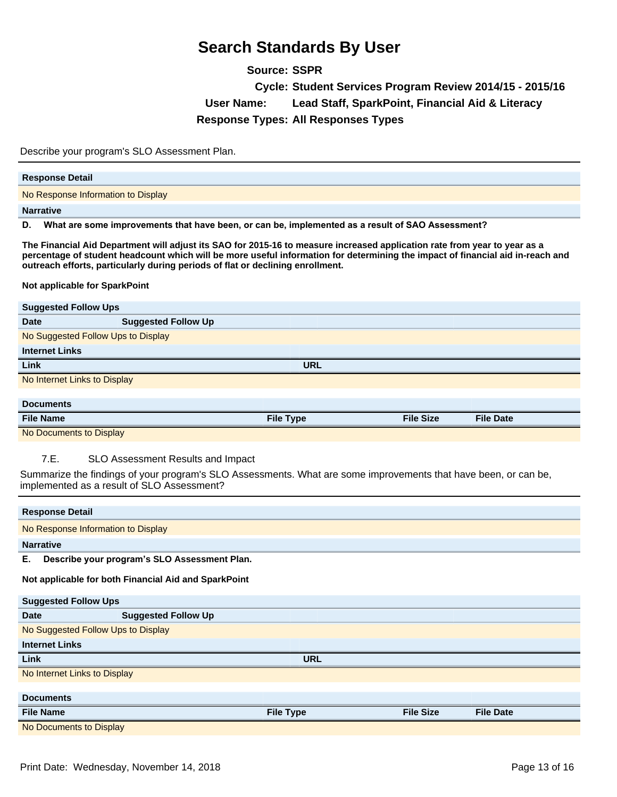**Source: SSPR Cycle: Student Services Program Review 2014/15 - 2015/16 User Name: Lead Staff, SparkPoint, Financial Aid & Literacy Response Types: All Responses Types**

Describe your program's SLO Assessment Plan.

| <b>Response Detail</b>             |
|------------------------------------|
| No Response Information to Display |
| <b>Narrative</b>                   |

D. What are some improvements that have been, or can be, implemented as a result of SAO Assessment?

**The Financial Aid Department will adjust its SAO for 2015-16 to measure increased application rate from year to year as a percentage of student headcount which will be more useful information for determining the impact of financial aid in-reach and outreach efforts, particularly during periods of flat or declining enrollment.** 

**Not applicable for SparkPoint**

| <b>Suggested Follow Ups</b>  |                                    |                  |                  |                  |  |  |
|------------------------------|------------------------------------|------------------|------------------|------------------|--|--|
| <b>Date</b>                  | <b>Suggested Follow Up</b>         |                  |                  |                  |  |  |
|                              | No Suggested Follow Ups to Display |                  |                  |                  |  |  |
| <b>Internet Links</b>        |                                    |                  |                  |                  |  |  |
| Link                         |                                    | <b>URL</b>       |                  |                  |  |  |
| No Internet Links to Display |                                    |                  |                  |                  |  |  |
|                              |                                    |                  |                  |                  |  |  |
| <b>Documents</b>             |                                    |                  |                  |                  |  |  |
| <b>File Name</b>             |                                    | <b>File Type</b> | <b>File Size</b> | <b>File Date</b> |  |  |
| No Documents to Display      |                                    |                  |                  |                  |  |  |

7.E. SLO Assessment Results and Impact

Summarize the findings of your program's SLO Assessments. What are some improvements that have been, or can be, implemented as a result of SLO Assessment?

| <b>Response Detail</b>             |                                                      |                  |                  |                  |  |  |
|------------------------------------|------------------------------------------------------|------------------|------------------|------------------|--|--|
| No Response Information to Display |                                                      |                  |                  |                  |  |  |
| <b>Narrative</b>                   |                                                      |                  |                  |                  |  |  |
| Е.                                 | Describe your program's SLO Assessment Plan.         |                  |                  |                  |  |  |
|                                    | Not applicable for both Financial Aid and SparkPoint |                  |                  |                  |  |  |
| <b>Suggested Follow Ups</b>        |                                                      |                  |                  |                  |  |  |
| <b>Date</b>                        | <b>Suggested Follow Up</b>                           |                  |                  |                  |  |  |
|                                    | No Suggested Follow Ups to Display                   |                  |                  |                  |  |  |
| <b>Internet Links</b>              |                                                      |                  |                  |                  |  |  |
| Link                               |                                                      | <b>URL</b>       |                  |                  |  |  |
|                                    | No Internet Links to Display                         |                  |                  |                  |  |  |
|                                    |                                                      |                  |                  |                  |  |  |
| <b>Documents</b>                   |                                                      |                  |                  |                  |  |  |
| <b>File Name</b>                   |                                                      | <b>File Type</b> | <b>File Size</b> | <b>File Date</b> |  |  |
| No Documents to Display            |                                                      |                  |                  |                  |  |  |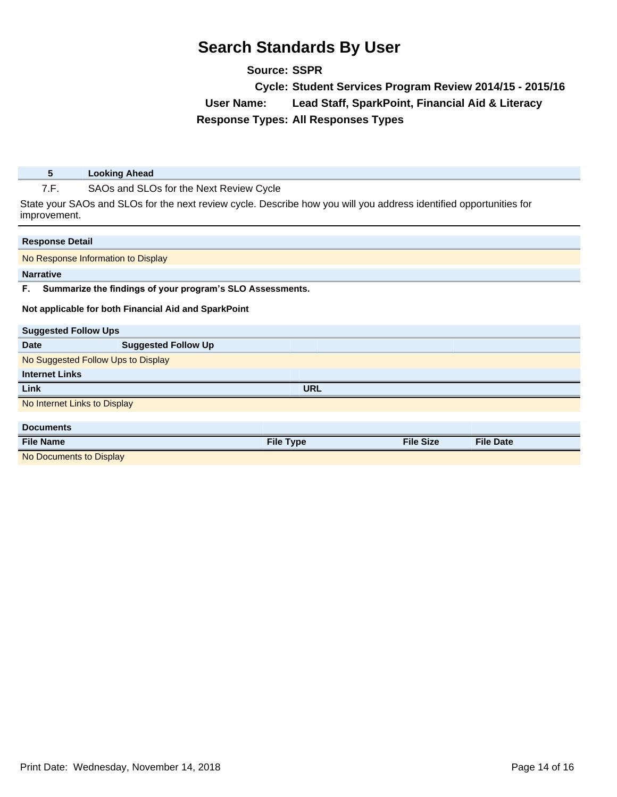**Source: SSPR Cycle: Student Services Program Review 2014/15 - 2015/16 User Name: Lead Staff, SparkPoint, Financial Aid & Literacy Response Types: All Responses Types**

**5 Looking Ahead**

7.F. SAOs and SLOs for the Next Review Cycle

State your SAOs and SLOs for the next review cycle. Describe how you will you address identified opportunities for improvement.

| <b>Response Detail</b>             |                                                           |                  |                  |                  |  |  |
|------------------------------------|-----------------------------------------------------------|------------------|------------------|------------------|--|--|
| No Response Information to Display |                                                           |                  |                  |                  |  |  |
| <b>Narrative</b>                   |                                                           |                  |                  |                  |  |  |
| F.                                 | Summarize the findings of your program's SLO Assessments. |                  |                  |                  |  |  |
|                                    | Not applicable for both Financial Aid and SparkPoint      |                  |                  |                  |  |  |
| <b>Suggested Follow Ups</b>        |                                                           |                  |                  |                  |  |  |
| Date                               | <b>Suggested Follow Up</b>                                |                  |                  |                  |  |  |
| No Suggested Follow Ups to Display |                                                           |                  |                  |                  |  |  |
| <b>Internet Links</b>              |                                                           |                  |                  |                  |  |  |
| Link                               |                                                           | <b>URL</b>       |                  |                  |  |  |
| No Internet Links to Display       |                                                           |                  |                  |                  |  |  |
|                                    |                                                           |                  |                  |                  |  |  |
| <b>Documents</b>                   |                                                           |                  |                  |                  |  |  |
| <b>File Name</b>                   |                                                           | <b>File Type</b> | <b>File Size</b> | <b>File Date</b> |  |  |
| No Documents to Display            |                                                           |                  |                  |                  |  |  |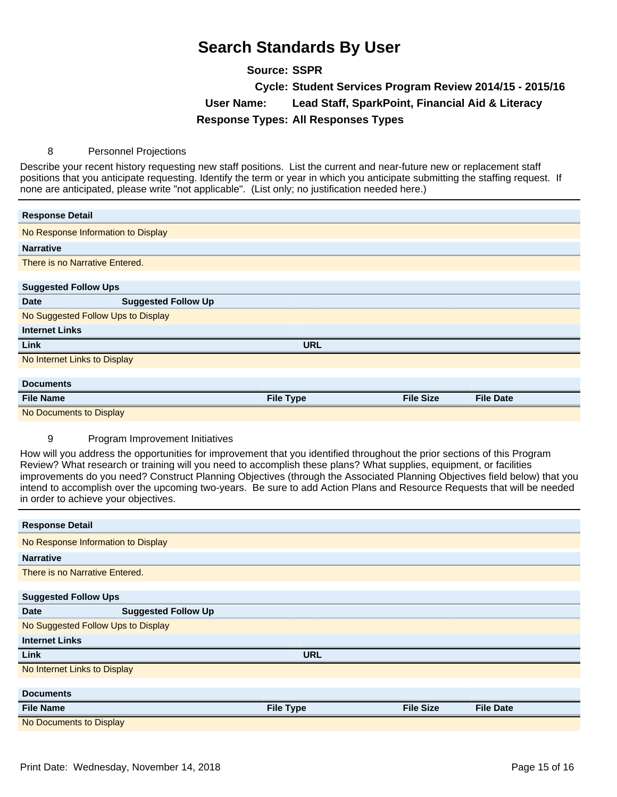**Source: SSPR Cycle: Student Services Program Review 2014/15 - 2015/16 User Name: Lead Staff, SparkPoint, Financial Aid & Literacy Response Types: All Responses Types**

#### 8 Personnel Projections

Describe your recent history requesting new staff positions. List the current and near-future new or replacement staff positions that you anticipate requesting. Identify the term or year in which you anticipate submitting the staffing request. If none are anticipated, please write "not applicable". (List only; no justification needed here.)

| <b>Response Detail</b>             |                                    |                  |                  |                  |  |  |
|------------------------------------|------------------------------------|------------------|------------------|------------------|--|--|
| No Response Information to Display |                                    |                  |                  |                  |  |  |
| <b>Narrative</b>                   |                                    |                  |                  |                  |  |  |
| There is no Narrative Entered.     |                                    |                  |                  |                  |  |  |
|                                    |                                    |                  |                  |                  |  |  |
| <b>Suggested Follow Ups</b>        |                                    |                  |                  |                  |  |  |
| <b>Date</b>                        | <b>Suggested Follow Up</b>         |                  |                  |                  |  |  |
|                                    | No Suggested Follow Ups to Display |                  |                  |                  |  |  |
| <b>Internet Links</b>              |                                    |                  |                  |                  |  |  |
| Link                               |                                    | <b>URL</b>       |                  |                  |  |  |
|                                    | No Internet Links to Display       |                  |                  |                  |  |  |
|                                    |                                    |                  |                  |                  |  |  |
| <b>Documents</b>                   |                                    |                  |                  |                  |  |  |
| <b>File Name</b>                   |                                    | <b>File Type</b> | <b>File Size</b> | <b>File Date</b> |  |  |
| No Documents to Display            |                                    |                  |                  |                  |  |  |

#### 9 Program Improvement Initiatives

How will you address the opportunities for improvement that you identified throughout the prior sections of this Program Review? What research or training will you need to accomplish these plans? What supplies, equipment, or facilities improvements do you need? Construct Planning Objectives (through the Associated Planning Objectives field below) that you intend to accomplish over the upcoming two-years. Be sure to add Action Plans and Resource Requests that will be needed in order to achieve your objectives.

|                                    | <b>Response Detail</b>             |                  |                  |                  |  |  |
|------------------------------------|------------------------------------|------------------|------------------|------------------|--|--|
|                                    | No Response Information to Display |                  |                  |                  |  |  |
| <b>Narrative</b>                   |                                    |                  |                  |                  |  |  |
| There is no Narrative Entered.     |                                    |                  |                  |                  |  |  |
|                                    |                                    |                  |                  |                  |  |  |
| <b>Suggested Follow Ups</b>        |                                    |                  |                  |                  |  |  |
| <b>Date</b>                        | <b>Suggested Follow Up</b>         |                  |                  |                  |  |  |
| No Suggested Follow Ups to Display |                                    |                  |                  |                  |  |  |
| <b>Internet Links</b>              |                                    |                  |                  |                  |  |  |
| <b>Link</b>                        |                                    | <b>URL</b>       |                  |                  |  |  |
| No Internet Links to Display       |                                    |                  |                  |                  |  |  |
|                                    |                                    |                  |                  |                  |  |  |
| <b>Documents</b>                   |                                    |                  |                  |                  |  |  |
| <b>File Name</b>                   |                                    | <b>File Type</b> | <b>File Size</b> | <b>File Date</b> |  |  |
| No Documents to Display            |                                    |                  |                  |                  |  |  |